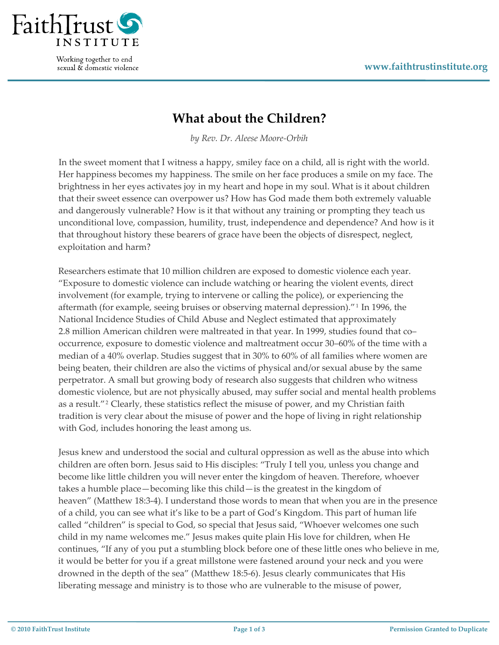

Working together to end sexual & domestic violence

## **What about the Children?**

*by Rev. Dr. Aleese Moore‐Orbih*

In the sweet moment that I witness a happy, smiley face on a child, all is right with the world. Her happiness becomes my happiness. The smile on her face produces a smile on my face. The brightness in her eyes activates joy in my heart and hope in my soul. What is it about children that their sweet essence can overpower us? How has God made them both extremely valuable and dangerously vulnerable? How is it that without any training or prompting they teach us unconditional love, compassion, humility, trust, independence and dependence? And how is it that throughout history these bearers of grace have been the objects of disrespect, neglect, exploitation and harm?

Researchers estimate that 10 million children are exposed to domestic violence each year. "Exposure to domestic violence can include watching or hearing the violent events, direct involvement (for example, trying to intervene or calling the police), or experiencing the aftermath (for example, seeing bruises or observing maternal depression)."[1](#page-2-0) In 1996, the National Incidence Studies of Child Abuse and Neglect estimated that approximately 2.8 million American children were maltreated in that year. In 1999, studies found that co– occurrence, exposure to domestic violence and maltreatment occur 30–60% of the time with a median of a 40% overlap. Studies suggest that in 30% to 60% of all families where women are being beaten, their children are also the victims of physical and/or sexual abuse by the same perpetrator. A small but growing body of research also suggests that children who witness domestic violence, but are not physically abused, may suffer social and mental health problems as a result."[2](#page-2-1) Clearly, these statistics reflect the misuse of power, and my Christian faith tradition is very clear about the misuse of power and the hope of living in right relationship with God, includes honoring the least among us.

Jesus knew and understood the social and cultural oppression as well as the abuse into which children are often born. Jesus said to His disciples: "Truly I tell you, unless you change and become like little children you will never enter the kingdom of heaven. Therefore, whoever takes a humble place—becoming like this child—is the greatest in the kingdom of heaven" (Matthew 18:3-4). I understand those words to mean that when you are in the presence of a child, you can see what it's like to be a part of God's Kingdom. This part of human life called "children" is special to God, so special that Jesus said, "Whoever welcomes one such child in my name welcomes me." Jesus makes quite plain His love for children, when He continues, "If any of you put a stumbling block before one of these little ones who believe in me, it would be better for you if a great millstone were fastened around your neck and you were drowned in the depth of the sea" (Matthew 18:5‐6). Jesus clearly communicates that His liberating message and ministry is to those who are vulnerable to the misuse of power,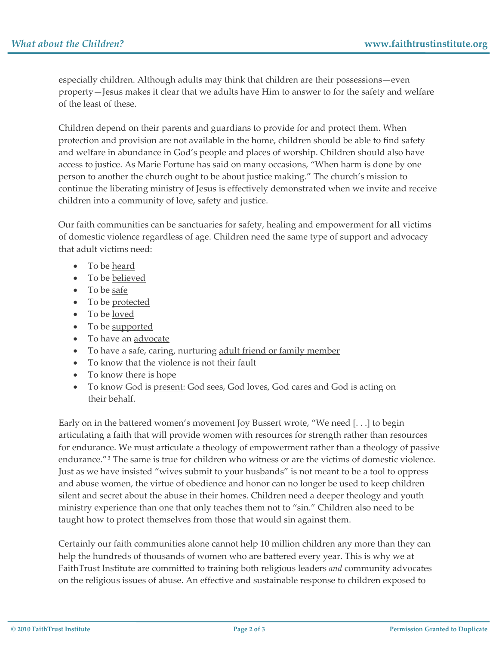especially children. Although adults may think that children are their possessions—even property—Jesus makes it clear that we adults have Him to answer to for the safety and welfare of the least of these.

Children depend on their parents and guardians to provide for and protect them. When protection and provision are not available in the home, children should be able to find safety and welfare in abundance in God's people and places of worship. Children should also have access to justice. As Marie Fortune has said on many occasions, "When harm is done by one person to another the church ought to be about justice making." The church's mission to continue the liberating ministry of Jesus is effectively demonstrated when we invite and receive children into a community of love, safety and justice.

Our faith communities can be sanctuaries for safety, healing and empowerment for **all** victims of domestic violence regardless of age. Children need the same type of support and advocacy that adult victims need:

- To be heard
- To be believed
- To be <u>safe</u>
- To be protected
- To be loved
- To be supported
- To have an advocate
- To have a safe, caring, nurturing adult friend or family member
- To know that the violence is not their fault
- To know there is hope
- To know God is present: God sees, God loves, God cares and God is acting on their behalf.

Early on in the battered women's movement Joy Bussert wrote, "We need [. . .] to begin articulating a faith that will provide women with resources for strength rather than resources for endurance. We must articulate a theology of empowerment rather than a theology of passive endurance."[3](#page-2-1) The same is true for children who witness or are the victims of domestic violence. Just as we have insisted "wives submit to your husbands" is not meant to be a tool to oppress and abuse women, the virtue of obedience and honor can no longer be used to keep children silent and secret about the abuse in their homes. Children need a deeper theology and youth ministry experience than one that only teaches them not to "sin." Children also need to be taught how to protect themselves from those that would sin against them.

Certainly our faith communities alone cannot help 10 million children any more than they can help the hundreds of thousands of women who are battered every year. This is why we at FaithTrust Institute are committed to training both religious leaders *and* community advocates on the religious issues of abuse. An effective and sustainable response to children exposed to